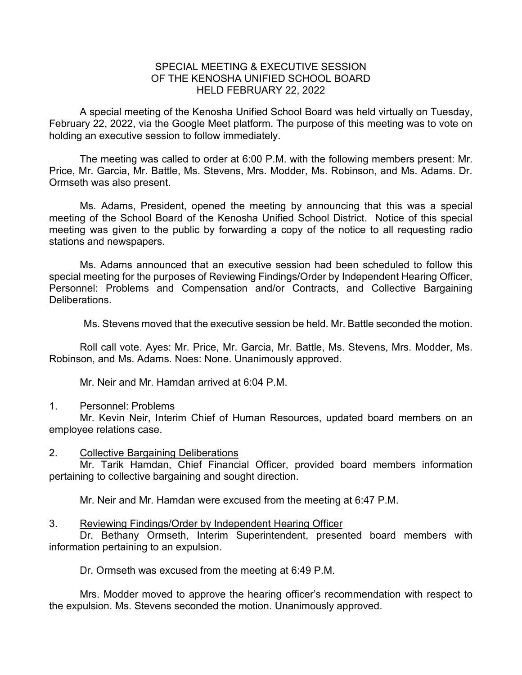## SPECIAL MEETING & EXECUTIVE SESSION OF THE KENOSHA UNIFIED SCHOOL BOARD HELD FEBRUARY 22, 2022

A special meeting of the Kenosha Unified School Board was held virtually on Tuesday, February 22, 2022, via the Google Meet platform. The purpose of this meeting was to vote on holding an executive session to follow immediately.

The meeting was called to order at 6:00 P.M. with the following members present: Mr. Price, Mr. Garcia, Mr. Battle, Ms. Stevens, Mrs. Modder, Ms. Robinson, and Ms. Adams. Dr. Ormseth was also present.

Ms. Adams, President, opened the meeting by announcing that this was a special meeting of the School Board of the Kenosha Unified School District. Notice of this special meeting was given to the public by forwarding a copy of the notice to all requesting radio stations and newspapers.

Ms. Adams announced that an executive session had been scheduled to follow this special meeting for the purposes of Reviewing Findings/Order by Independent Hearing Officer, Personnel: Problems and Compensation and/or Contracts, and Collective Bargaining Deliberations.

Ms. Stevens moved that the executive session be held. Mr. Battle seconded the motion.

Roll call vote. Ayes: Mr. Price, Mr. Garcia, Mr. Battle, Ms. Stevens, Mrs. Modder, Ms. Robinson, and Ms. Adams. Noes: None. Unanimously approved.

Mr. Neir and Mr. Hamdan arrived at 6:04 P.M.

## 1. Personnel: Problems

Mr. Kevin Neir, Interim Chief of Human Resources, updated board members on an employee relations case.

## 2. Collective Bargaining Deliberations

Mr. Tarik Hamdan, Chief Financial Officer, provided board members information pertaining to collective bargaining and sought direction.

Mr. Neir and Mr. Hamdan were excused from the meeting at 6:47 P.M.

## 3. Reviewing Findings/Order by Independent Hearing Officer

Dr. Bethany Ormseth, Interim Superintendent, presented board members with information pertaining to an expulsion.

Dr. Ormseth was excused from the meeting at 6:49 P.M.

Mrs. Modder moved to approve the hearing officer's recommendation with respect to the expulsion. Ms. Stevens seconded the motion. Unanimously approved.